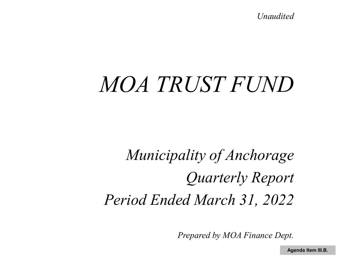*Unaudited*

# *MOA TRUST FUND*

*Municipality of Anchorage Quarterly Report Period Ended March 31, 2022*

*Prepared by MOA Finance Dept.*

**Agenda Item III.B.**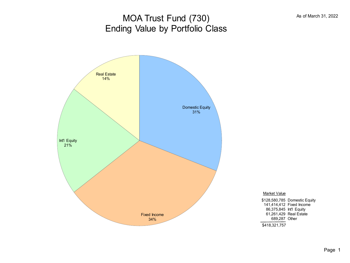# MOA Trust Fund (730) Ending Value by Portfolio Class



Market Value \$128,580,785 Domestic Equity 141,414,412 Fixed Income 86,375,845 Int'l Equity 61,261,429 Real Estate 689,287 Other\$418,321,757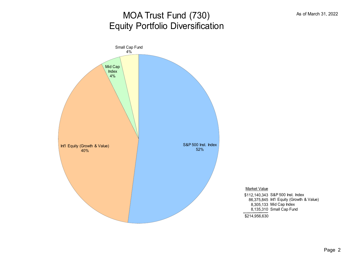# MOA Trust Fund (730) Equity Portfolio Diversification



Market Value

\$112,140,343 S&P 500 Inst. Index 86,375,845 Int'l Equity (Growth & Value) 8,305,133 Mid Cap Index 8,135,310 Small Cap Fund

\$214,956,630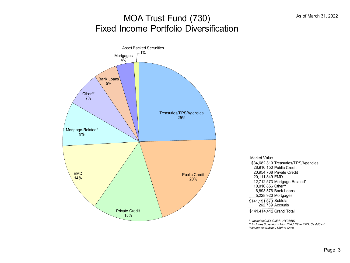### MOA Trust Fund (730) Fixed Income Portfolio Diversification



\$34,682,319 Treasuries/TIPS/Agencies 28,916,150 Public Credit 20,954,768 Private Credit 20,111,849 EMD 12,712,573 Mortgage-Related\* 10,016,856 Other\*\* 6,893,576 Bank Loans 5,228,920 Mortgages Market Value \$141,151,673 Subtotal 262,739 Accruals

\$141,414,412 Grand Total

*\* Includes CMO, CMBS, HYCMBS*

*\*\* Includes Sovereigns, High Yield, Other EMD, Cash/Cash Instruments & Money Market Cash*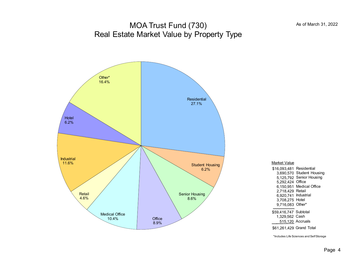#### MOA Trust Fund (730) Real Estate Market Value by Property Type



| Market Value                                                                                                               |                                                                                                                |
|----------------------------------------------------------------------------------------------------------------------------|----------------------------------------------------------------------------------------------------------------|
| \$16.093.481<br>3.690.570<br>5.125.792<br>5.292.424<br>6.150.951<br>2.718.429<br>6.920.741<br>3,708,275 Hotel<br>9.716.083 | Residential<br>Student Housing<br>Senior Housing<br>Office<br>Medical Office<br>Retail<br>Industrial<br>Other* |
| \$59,416,747 Subtotal<br>1.329.562 Cash<br>\$61.261.429 Grand Total                                                        | 515,120 Accruals                                                                                               |

\*Includes Life Sciences and Self Storage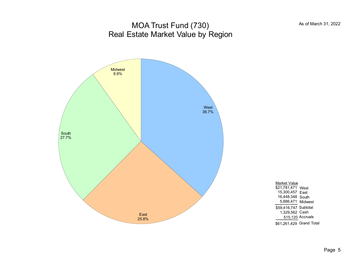#### MOA Trust Fund (730) Real Estate Market Value by Region



| Market Value             |                  |
|--------------------------|------------------|
| \$21.781.471             | West             |
| 15,300,457               | Fast             |
| 16,448,348               | South            |
| 5.886,471                | Midwest          |
| \$59.416.747 Subtotal    |                  |
| 1.329.562 Cash           |                  |
|                          | 515,120 Accruals |
| \$61.261.429 Grand Total |                  |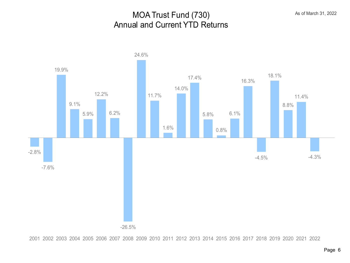#### MOA Trust Fund (730) Annual and Current YTD Returns



2001 2002 2003 2004 2005 2006 2007 2008 2009 2010 2011 2012 2013 2014 2015 2016 2017 2018 2019 2020 2021 2022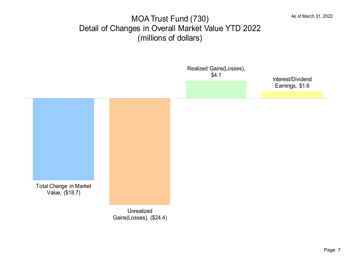#### MOA Trust Fund (730) Detail of Changes in Overall Market Value YTD 2022 (millions of dollars)

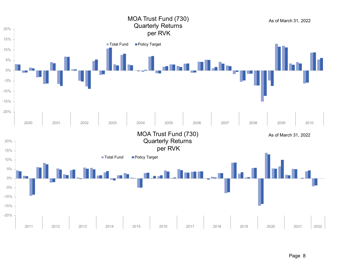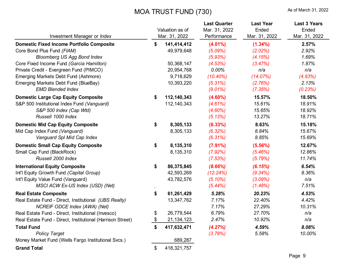#### MOA TRUST FUND (730) As of March 31, 2022

| Investment Manager or Index                                                                                                                                                                                                                         |          | Valuation as of<br>Mar. 31, 2022                                   | <b>Last Quarter</b><br>Mar. 31, 2022<br>Performance                    | <b>Last Year</b><br>Ended<br>Mar. 31, 2022                     | <b>Last 3 Years</b><br>Ended<br>Mar. 31, 2022      |
|-----------------------------------------------------------------------------------------------------------------------------------------------------------------------------------------------------------------------------------------------------|----------|--------------------------------------------------------------------|------------------------------------------------------------------------|----------------------------------------------------------------|----------------------------------------------------|
| <b>Domestic Fixed Income Portfolio Composite</b><br>Core Bond Plus Fund (FIAM)<br><b>Bloomberg US Agg Bond Index</b><br>Core Fixed Income Fund (Garcia Hamilton)<br>Private Credit - Evergreen Fund (PIMCO)<br>Emerging Markets Debt Fund (Ashmore) | \$       | 141,414,412<br>49,979,648<br>50,368,147<br>20,954,768<br>9,718,629 | $(4.01\%)$<br>(5.09%)<br>(5.93%)<br>(4.53%)<br>$0.00\%$<br>$(10.40\%)$ | $(1.34\%)$<br>(2.02%)<br>(4.15%)<br>(3.47%)<br>n/a<br>(14.07%) | 2.57%<br>2.92%<br>1.69%<br>1.87%<br>n/a<br>(4.93%) |
| Emerging Markets Debt Fund (BlueBay)<br><b>EMD Blended Index</b>                                                                                                                                                                                    |          | 10,393,220                                                         | (5.31%)<br>$(9.01\%)$                                                  | (2.76%)<br>(7.35%)                                             | 2.13%<br>(0.23%)                                   |
| <b>Domestic Large Cap Equity Composite</b><br>S&P 500 Institutional Index Fund (Vanguard)<br>S&P 500 Index (Cap Wtd)<br>Russell 1000 Index                                                                                                          | \$       | 112,140,343<br>112, 140, 343                                       | $(4.60\%)$<br>(4.61%)<br>$(4.60\%)$<br>(5.13%)                         | 15.57%<br>15.61%<br>15.65%<br>13.27%                           | 18.50%<br>18.91%<br>18.92%<br>18.71%               |
| <b>Domestic Mid Cap Equity Composite</b><br>Mid Cap Index Fund (Vanguard)<br>Vanguard Spl Mid Cap Index                                                                                                                                             | \$       | 8,305,133<br>8,305,133                                             | (6.33%)<br>(6.32%)<br>(6.31%)                                          | 8.63%<br>8.84%<br>8.85%                                        | 15.18%<br>15.67%<br>15.69%                         |
| <b>Domestic Small Cap Equity Composite</b><br>Small Cap Fund (BlackRock)<br>Russell 2000 Index                                                                                                                                                      | \$       | 8,135,310<br>8,135,310                                             | (7.91%)<br>(7.92%)<br>(7.53%)                                          | $(5.56\%)$<br>(5.46%)<br>(5.79%)                               | 12.67%<br>12.86%<br>11.74%                         |
| <b>International Equity Composite</b><br>Int'l Equity Growth Fund (Capital Group)<br>Int'l Equity Value Fund (Vanguard)<br>MSCI ACW Ex-US Index (USD) (Net)                                                                                         | \$       | 86,375,845<br>42,593,269<br>43,782,576                             | (8.66%)<br>(12.24%)<br>$(5.10\%)$<br>(5.44%)                           | (6.15%)<br>$(9.34\%)$<br>(3.09%)<br>(1.48%)                    | 6.54%<br>8.36%<br>n/a<br>7.51%                     |
| <b>Real Estate Composite</b><br>Real Estate Fund - Direct, Institutional (UBS Realty)<br>NCREIF ODCE Index (AWA) (Net)                                                                                                                              | \$       | 61,261,429<br>13,347,762                                           | 5.28%<br>7.17%<br>7.17%                                                | 20.23%<br>22.40%<br>27.29%                                     | 4.53%<br>4.42%<br>10.31%                           |
| Real Estate Fund - Direct, Institutional (Invesco)<br>Real Estate Fund - Direct, Institutional (Harrison Street)                                                                                                                                    | \$<br>\$ | 26,779,544<br>21, 134, 123                                         | 6.79%<br>2.47%                                                         | 27.70%<br>10.92%                                               | n/a<br>n/a                                         |
| <b>Total Fund</b><br><b>Policy Target</b>                                                                                                                                                                                                           | \$       | 417,632,471                                                        | (4.27%)<br>(3.78%)                                                     | 4.59%<br>5.58%                                                 | 8.08%<br>10.00%                                    |
| Money Market Fund (Wells Fargo Institutional Svcs.)                                                                                                                                                                                                 |          | 689,287                                                            |                                                                        |                                                                |                                                    |
| <b>Grand Total</b>                                                                                                                                                                                                                                  | \$       | 418,321,757                                                        |                                                                        |                                                                |                                                    |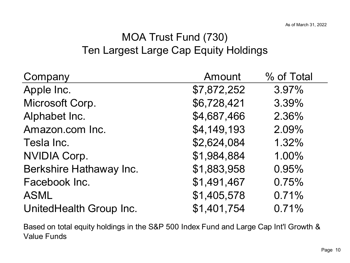# MOA Trust Fund (730) Ten Largest Large Cap Equity Holdings

| Company                 | Amount      | % of Total |
|-------------------------|-------------|------------|
| Apple Inc.              | \$7,872,252 | 3.97%      |
| Microsoft Corp.         | \$6,728,421 | 3.39%      |
| Alphabet Inc.           | \$4,687,466 | 2.36%      |
| Amazon.com Inc.         | \$4,149,193 | 2.09%      |
| Tesla Inc.              | \$2,624,084 | 1.32%      |
| <b>NVIDIA Corp.</b>     | \$1,984,884 | 1.00%      |
| Berkshire Hathaway Inc. | \$1,883,958 | 0.95%      |
| Facebook Inc.           | \$1,491,467 | 0.75%      |
| <b>ASML</b>             | \$1,405,578 | 0.71%      |
| UnitedHealth Group Inc. | \$1,401,754 | 0.71%      |

Based on total equity holdings in the S&P 500 Index Fund and Large Cap Int'l Growth & Value Funds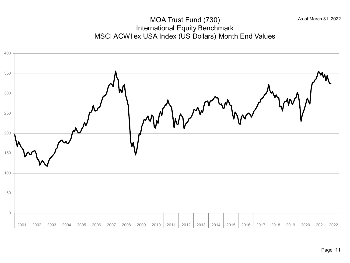#### MOA Trust Fund (730) International Equity Benchmark MSCI ACWI ex USA Index (US Dollars) Month End Values